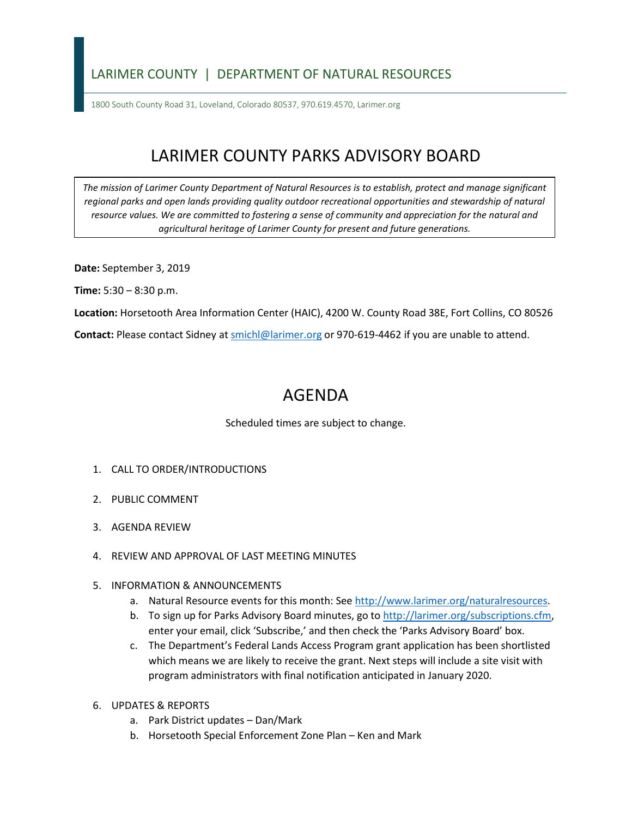## LARIMER COUNTY | DEPARTMENT OF NATURAL RESOURCES

1800 South County Road 31, Loveland, Colorado 80537, 970.619.4570, Larimer.org

## LARIMER COUNTY PARKS ADVISORY BOARD

*The mission of Larimer County Department of Natural Resources is to establish, protect and manage significant*  regional parks and open lands providing quality outdoor recreational opportunities and stewardship of natural *resource values. We are committed to fostering a sense of community and appreciation for the natural and agricultural heritage of Larimer County for present and future generations.* 

**Date:** September 3, 2019

**Time:** 5:30 – 8:30 p.m.

**Location:** Horsetooth Area Information Center (HAIC), 4200 W. County Road 38E, Fort Collins, CO 80526

Contact: Please contact Sidney at **smichl@larimer.org** or 970-619-4462 if you are unable to attend.

## AGENDA

Scheduled times are subject to change.

- 1. CALL TO ORDER/INTRODUCTIONS
- 2. PUBLIC COMMENT
- 3. AGENDA REVIEW
- 4. REVIEW AND APPROVAL OF LAST MEETING MINUTES

## 5. INFORMATION & ANNOUNCEMENTS

- a. Natural Resource events for this month: See [http://www.larimer.org/naturalresources.](http://www.larimer.org/naturalresources)
- b. To sign up for Parks Advisory Board minutes, go to [http://larimer.org/subscriptions.cfm,](http://larimer.org/subscriptions.cfm) enter your email, click 'Subscribe,' and then check the 'Parks Advisory Board' box.
- which means we are likely to receive the grant. Next steps will include a site visit with program administrators with final notification anticipated in January 2020. c. The Department's Federal Lands Access Program grant application has been shortlisted
- 6. UPDATES & REPORTS
	- a. Park District updates Dan/Mark
	- b. Horsetooth Special Enforcement Zone Plan Ken and Mark